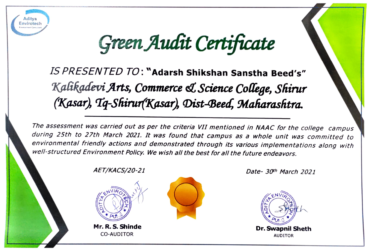

Green Audit Certificate

IS PRESENTED TO:"Adarsh Shikshan Sanstha Beed's" Kalikadevi Arts, Commerce & Science College, Shirur (Kasar), Tq-Shirur(Kasar), Dist-Beed, Maharashtra.

The assessment was carried out as per the criteria VII mentioned in NAAC for the college campus<br>during 25th to 27th March 2021. It was found that campus as a whole unit was committed to environmental friendly actions and demonstrated through its various implementations along with well-structured Environment Policy. We wish all the best for all the future endeavors.

AET/KACS/20-21 Date- 30th March 2021



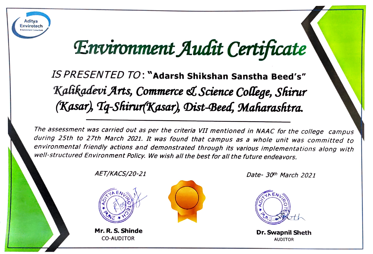

## Environment Audit Certificate

IS PRESENTED TO: "Adarsh Shikshan Sanstha Beed's" Kalikadevi Arts, Commerce st Science College, Shirur (Kasar), Tq-Shirur(Kasar), Dist-Beed, Maharashtra.

The assessment was carried out as per the criteria VII mentioned in NAAC for the college campus<br>during 25th to 27th March 2021. It was found that campus as a whole unit was committed to environmental friendly actions and demonstrated through its various implementations along with well-structured Environment Policy. We wish all the best for all the future endeavors.



Mr. R. S. Shinde **Dr. Swapnil Sheth** CO-AUDITOR AUDITOR AUDITOR



AET/KACS/20-21 Date- 30th March 2021